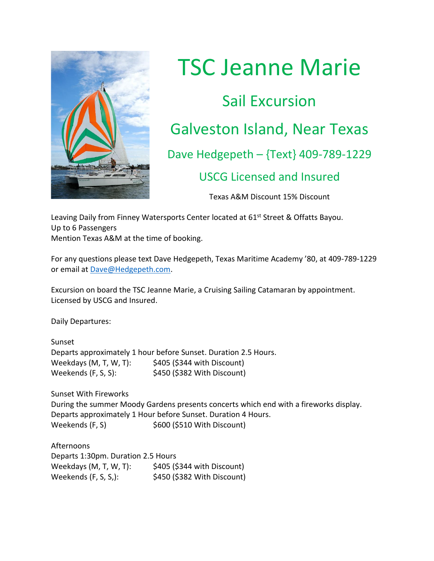

## TSC Jeanne Marie Sail Excursion Galveston Island, Near Texas Dave Hedgepeth – {Text} 409-789-1229 USCG Licensed and Insured

Texas A&M Discount 15% Discount

Leaving Daily from Finney Watersports Center located at 61<sup>st</sup> Street & Offatts Bayou. Up to 6 Passengers Mention Texas A&M at the time of booking.

For any questions please text Dave Hedgepeth, Texas Maritime Academy '80, at 409-789-1229 or email at [Dave@Hedgepeth.com.](mailto:Dave@Hedgepeth.com)

Excursion on board the TSC Jeanne Marie, a Cruising Sailing Catamaran by appointment. Licensed by USCG and Insured.

Daily Departures:

Sunset Departs approximately 1 hour before Sunset. Duration 2.5 Hours. Weekdays (M, T, W, T): \$405 (\$344 with Discount) Weekends (F, S, S): \$450 (\$382 With Discount)

Sunset With Fireworks During the summer Moody Gardens presents concerts which end with a fireworks display. Departs approximately 1 Hour before Sunset. Duration 4 Hours. Weekends (F, S)  $$600$  (\$510 With Discount)

Afternoons Departs 1:30pm. Duration 2.5 Hours Weekdays (M, T, W, T): \$405 (\$344 with Discount) Weekends (F, S, S,): \$450 (\$382 With Discount)